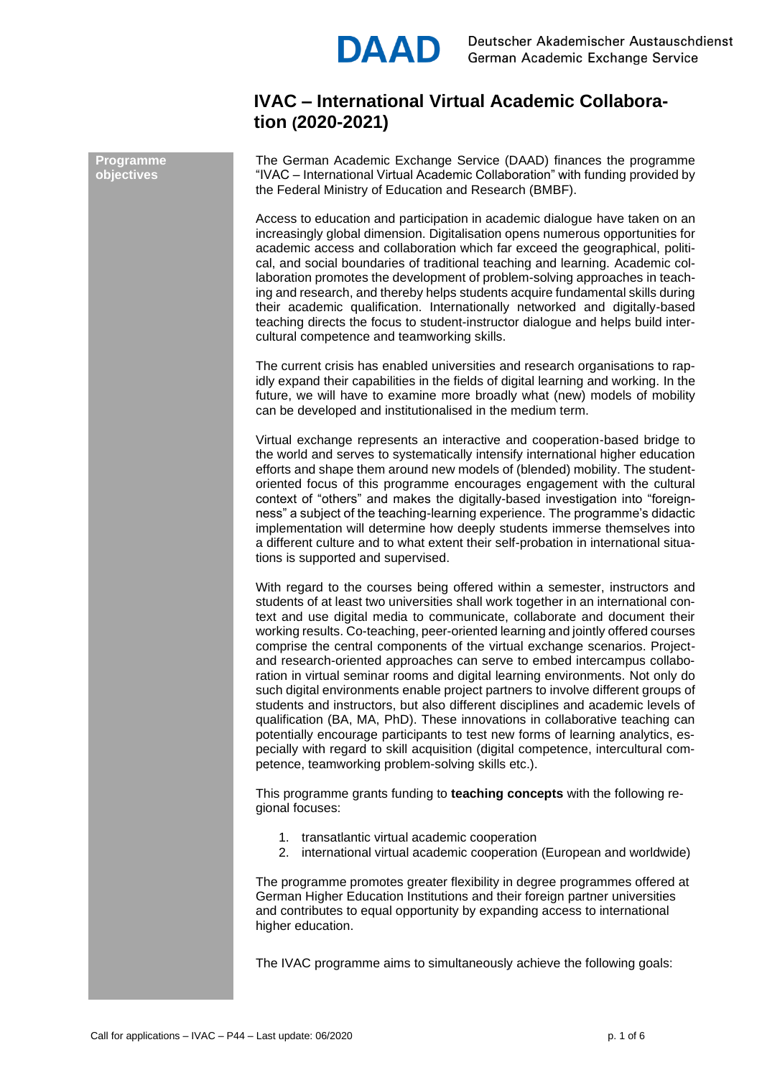

# **IVAC – International Virtual Academic Collaboration (2020-2021)**

The German Academic Exchange Service (DAAD) finances the programme "IVAC – International Virtual Academic Collaboration" with funding provided by the Federal Ministry of Education and Research (BMBF).

Access to education and participation in academic dialogue have taken on an increasingly global dimension. Digitalisation opens numerous opportunities for academic access and collaboration which far exceed the geographical, political, and social boundaries of traditional teaching and learning. Academic collaboration promotes the development of problem-solving approaches in teaching and research, and thereby helps students acquire fundamental skills during their academic qualification. Internationally networked and digitally-based teaching directs the focus to student-instructor dialogue and helps build intercultural competence and teamworking skills.

The current crisis has enabled universities and research organisations to rapidly expand their capabilities in the fields of digital learning and working. In the future, we will have to examine more broadly what (new) models of mobility can be developed and institutionalised in the medium term.

Virtual exchange represents an interactive and cooperation-based bridge to the world and serves to systematically intensify international higher education efforts and shape them around new models of (blended) mobility. The studentoriented focus of this programme encourages engagement with the cultural context of "others" and makes the digitally-based investigation into "foreignness" a subject of the teaching-learning experience. The programme's didactic implementation will determine how deeply students immerse themselves into a different culture and to what extent their self-probation in international situations is supported and supervised.

With regard to the courses being offered within a semester, instructors and students of at least two universities shall work together in an international context and use digital media to communicate, collaborate and document their working results. Co-teaching, peer-oriented learning and jointly offered courses comprise the central components of the virtual exchange scenarios. Projectand research-oriented approaches can serve to embed intercampus collaboration in virtual seminar rooms and digital learning environments. Not only do such digital environments enable project partners to involve different groups of students and instructors, but also different disciplines and academic levels of qualification (BA, MA, PhD). These innovations in collaborative teaching can potentially encourage participants to test new forms of learning analytics, especially with regard to skill acquisition (digital competence, intercultural competence, teamworking problem-solving skills etc.).

This programme grants funding to **teaching concepts** with the following regional focuses:

- 1. transatlantic virtual academic cooperation
- 2. international virtual academic cooperation (European and worldwide)

The programme promotes greater flexibility in degree programmes offered at German Higher Education Institutions and their foreign partner universities and contributes to equal opportunity by expanding access to international higher education.

The IVAC programme aims to simultaneously achieve the following goals:

**Programme objectives**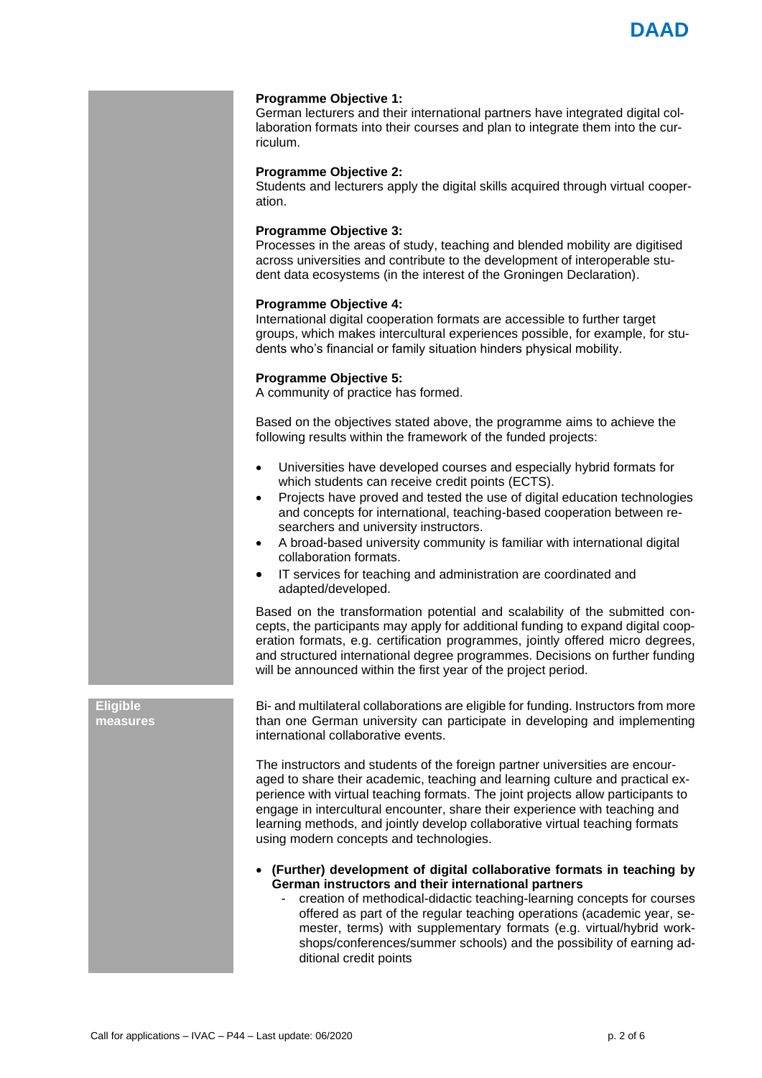

#### **Programme Objective 1:**

German lecturers and their international partners have integrated digital collaboration formats into their courses and plan to integrate them into the curriculum.

#### **Programme Objective 2:**

Students and lecturers apply the digital skills acquired through virtual cooperation.

# **Programme Objective 3:**

Processes in the areas of study, teaching and blended mobility are digitised across universities and contribute to the development of interoperable student data ecosystems (in the interest of the Groningen Declaration).

#### **Programme Objective 4:**

International digital cooperation formats are accessible to further target groups, which makes intercultural experiences possible, for example, for students who's financial or family situation hinders physical mobility.

## **Programme Objective 5:**

A community of practice has formed.

Based on the objectives stated above, the programme aims to achieve the following results within the framework of the funded projects:

- Universities have developed courses and especially hybrid formats for which students can receive credit points (ECTS).
- Projects have proved and tested the use of digital education technologies and concepts for international, teaching-based cooperation between researchers and university instructors.
- A broad-based university community is familiar with international digital collaboration formats.
- IT services for teaching and administration are coordinated and adapted/developed.

Based on the transformation potential and scalability of the submitted concepts, the participants may apply for additional funding to expand digital cooperation formats, e.g. certification programmes, jointly offered micro degrees, and structured international degree programmes. Decisions on further funding will be announced within the first year of the project period.

**Eligible measures** Bi- and multilateral collaborations are eligible for funding. Instructors from more than one German university can participate in developing and implementing international collaborative events.

The instructors and students of the foreign partner universities are encouraged to share their academic, teaching and learning culture and practical experience with virtual teaching formats. The joint projects allow participants to engage in intercultural encounter, share their experience with teaching and learning methods, and jointly develop collaborative virtual teaching formats using modern concepts and technologies.

• **(Further) development of digital collaborative formats in teaching by German instructors and their international partners**

- creation of methodical-didactic teaching-learning concepts for courses offered as part of the regular teaching operations (academic year, semester, terms) with supplementary formats (e.g. virtual/hybrid workshops/conferences/summer schools) and the possibility of earning additional credit points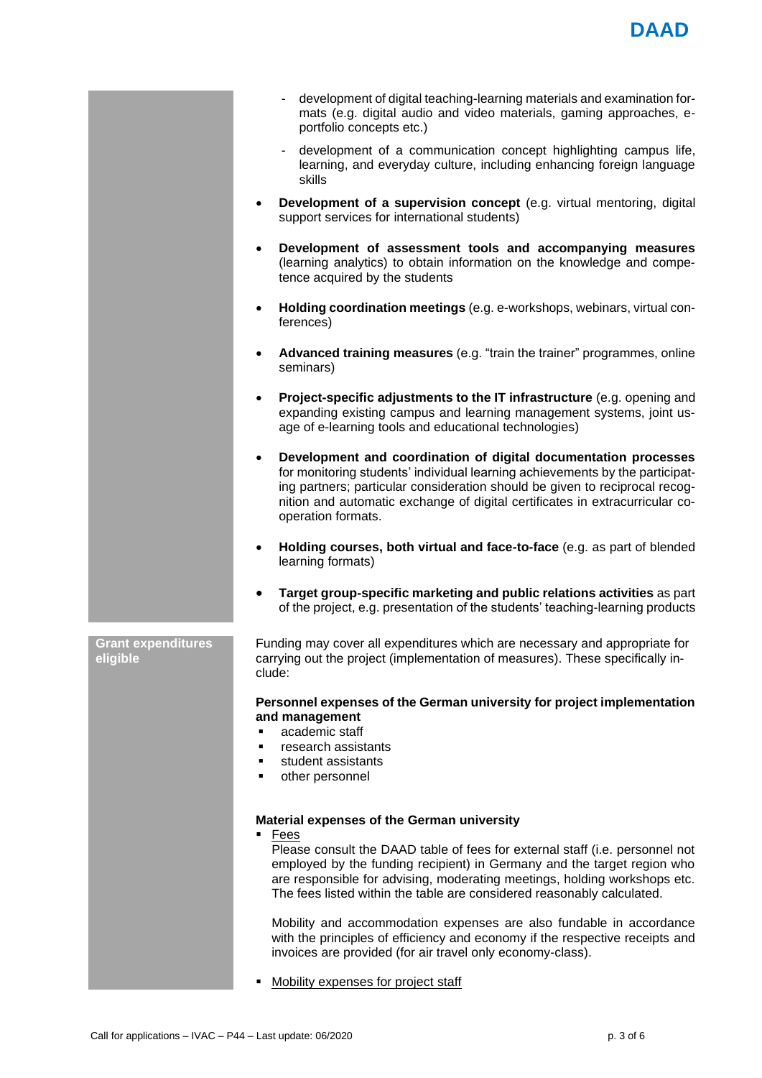- development of digital teaching-learning materials and examination formats (e.g. digital audio and video materials, gaming approaches, eportfolio concepts etc.)
- development of a communication concept highlighting campus life, learning, and everyday culture, including enhancing foreign language skills
- **Development of a supervision concept** (e.g. virtual mentoring, digital support services for international students)
- **Development of assessment tools and accompanying measures** (learning analytics) to obtain information on the knowledge and competence acquired by the students
- **Holding coordination meetings** (e.g. e-workshops, webinars, virtual conferences)
- **Advanced training measures** (e.g. "train the trainer" programmes, online seminars)
- **Project-specific adjustments to the IT infrastructure** (e.g. opening and expanding existing campus and learning management systems, joint usage of e-learning tools and educational technologies)
- **Development and coordination of digital documentation processes** for monitoring students' individual learning achievements by the participating partners; particular consideration should be given to reciprocal recognition and automatic exchange of digital certificates in extracurricular cooperation formats.
- **Holding courses, both virtual and face-to-face** (e.g. as part of blended learning formats)
- **Target group-specific marketing and public relations activities** as part of the project, e.g. presentation of the students' teaching-learning products

**Grant expenditures eligible**

Funding may cover all expenditures which are necessary and appropriate for carrying out the project (implementation of measures). These specifically include:

## **Personnel expenses of the German university for project implementation and management**

academic staff

- research assistants
- student assistants
- other personnel

# **Material expenses of the German university**

**Fees** 

Please consult the DAAD table of fees for external staff (i.e. personnel not employed by the funding recipient) in Germany and the target region who are responsible for advising, moderating meetings, holding workshops etc. The fees listed within the table are considered reasonably calculated.

Mobility and accommodation expenses are also fundable in accordance with the principles of efficiency and economy if the respective receipts and invoices are provided (for air travel only economy-class).

Mobility expenses for project staff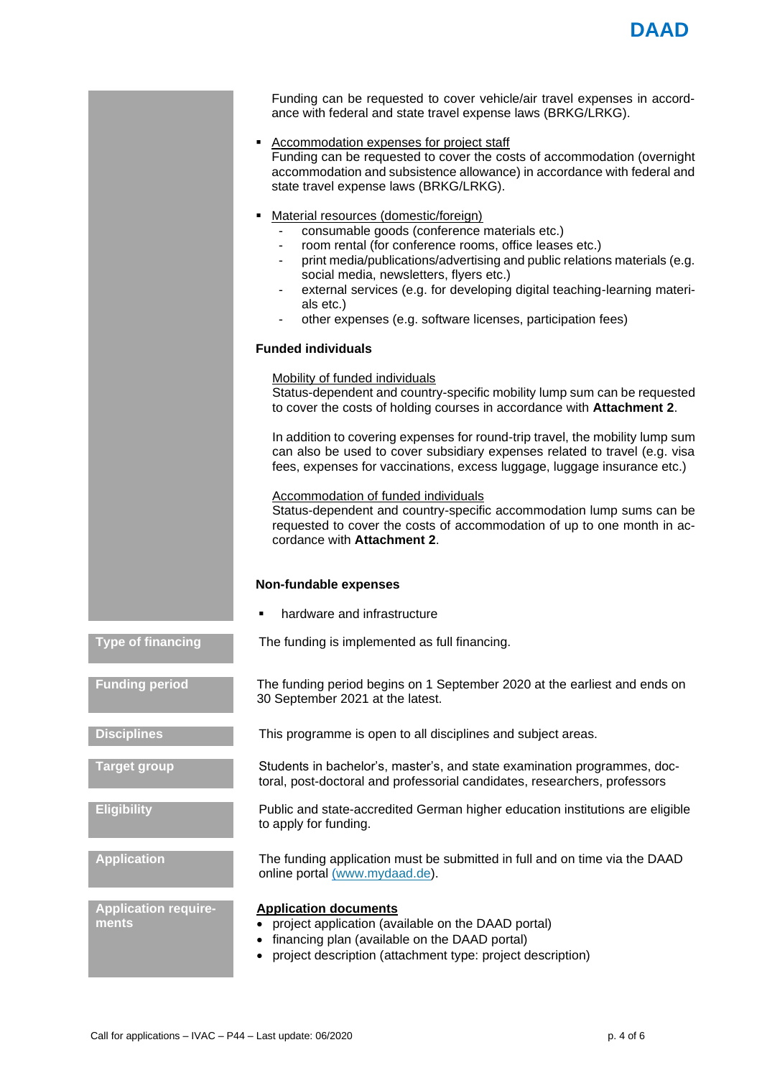|                                      | Funding can be requested to cover vehicle/air travel expenses in accord-<br>ance with federal and state travel expense laws (BRKG/LRKG).                                                                                                                                                                                                                                                                                        |
|--------------------------------------|---------------------------------------------------------------------------------------------------------------------------------------------------------------------------------------------------------------------------------------------------------------------------------------------------------------------------------------------------------------------------------------------------------------------------------|
|                                      | <b>Accommodation expenses for project staff</b><br>٠<br>Funding can be requested to cover the costs of accommodation (overnight<br>accommodation and subsistence allowance) in accordance with federal and<br>state travel expense laws (BRKG/LRKG).                                                                                                                                                                            |
|                                      | Material resources (domestic/foreign)<br>consumable goods (conference materials etc.)<br>room rental (for conference rooms, office leases etc.)<br>print media/publications/advertising and public relations materials (e.g.<br>social media, newsletters, flyers etc.)<br>external services (e.g. for developing digital teaching-learning materi-<br>als etc.)<br>other expenses (e.g. software licenses, participation fees) |
|                                      | <b>Funded individuals</b>                                                                                                                                                                                                                                                                                                                                                                                                       |
|                                      | <b>Mobility of funded individuals</b><br>Status-dependent and country-specific mobility lump sum can be requested<br>to cover the costs of holding courses in accordance with Attachment 2.                                                                                                                                                                                                                                     |
|                                      | In addition to covering expenses for round-trip travel, the mobility lump sum<br>can also be used to cover subsidiary expenses related to travel (e.g. visa<br>fees, expenses for vaccinations, excess luggage, luggage insurance etc.)                                                                                                                                                                                         |
|                                      | Accommodation of funded individuals<br>Status-dependent and country-specific accommodation lump sums can be<br>requested to cover the costs of accommodation of up to one month in ac-<br>cordance with Attachment 2.                                                                                                                                                                                                           |
|                                      | Non-fundable expenses                                                                                                                                                                                                                                                                                                                                                                                                           |
|                                      | hardware and infrastructure                                                                                                                                                                                                                                                                                                                                                                                                     |
| <b>Type of financing</b>             | The funding is implemented as full financing.                                                                                                                                                                                                                                                                                                                                                                                   |
| <b>Funding period</b>                | The funding period begins on 1 September 2020 at the earliest and ends on<br>30 September 2021 at the latest.                                                                                                                                                                                                                                                                                                                   |
| <b>Disciplines</b>                   | This programme is open to all disciplines and subject areas.                                                                                                                                                                                                                                                                                                                                                                    |
| <b>Target group</b>                  | Students in bachelor's, master's, and state examination programmes, doc-<br>toral, post-doctoral and professorial candidates, researchers, professors                                                                                                                                                                                                                                                                           |
| <b>Eligibility</b>                   | Public and state-accredited German higher education institutions are eligible<br>to apply for funding.                                                                                                                                                                                                                                                                                                                          |
| <b>Application</b>                   | The funding application must be submitted in full and on time via the DAAD<br>online portal (www.mydaad.de).                                                                                                                                                                                                                                                                                                                    |
| <b>Application require-</b><br>ments | <b>Application documents</b><br>project application (available on the DAAD portal)<br>financing plan (available on the DAAD portal)<br>project description (attachment type: project description)                                                                                                                                                                                                                               |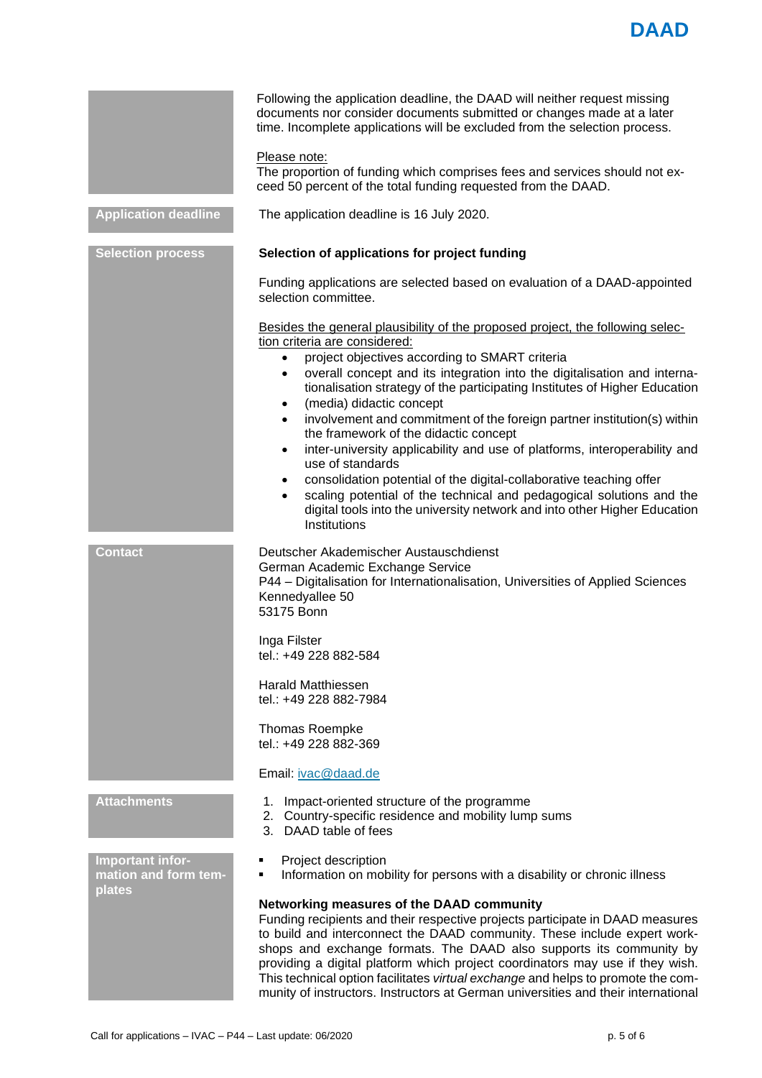

|                                          | Following the application deadline, the DAAD will neither request missing<br>documents nor consider documents submitted or changes made at a later<br>time. Incomplete applications will be excluded from the selection process.<br>Please note:<br>The proportion of funding which comprises fees and services should not ex-<br>ceed 50 percent of the total funding requested from the DAAD.                                                                                                                                                                                                                                                                                                                                                                                                                                                                                                     |
|------------------------------------------|-----------------------------------------------------------------------------------------------------------------------------------------------------------------------------------------------------------------------------------------------------------------------------------------------------------------------------------------------------------------------------------------------------------------------------------------------------------------------------------------------------------------------------------------------------------------------------------------------------------------------------------------------------------------------------------------------------------------------------------------------------------------------------------------------------------------------------------------------------------------------------------------------------|
| <b>Application deadline</b>              | The application deadline is 16 July 2020.                                                                                                                                                                                                                                                                                                                                                                                                                                                                                                                                                                                                                                                                                                                                                                                                                                                           |
| <b>Selection process</b>                 | Selection of applications for project funding                                                                                                                                                                                                                                                                                                                                                                                                                                                                                                                                                                                                                                                                                                                                                                                                                                                       |
|                                          | Funding applications are selected based on evaluation of a DAAD-appointed<br>selection committee.                                                                                                                                                                                                                                                                                                                                                                                                                                                                                                                                                                                                                                                                                                                                                                                                   |
|                                          | Besides the general plausibility of the proposed project, the following selec-<br>tion criteria are considered:<br>project objectives according to SMART criteria<br>$\bullet$<br>overall concept and its integration into the digitalisation and interna-<br>$\bullet$<br>tionalisation strategy of the participating Institutes of Higher Education<br>(media) didactic concept<br>$\bullet$<br>involvement and commitment of the foreign partner institution(s) within<br>$\bullet$<br>the framework of the didactic concept<br>inter-university applicability and use of platforms, interoperability and<br>$\bullet$<br>use of standards<br>consolidation potential of the digital-collaborative teaching offer<br>$\bullet$<br>scaling potential of the technical and pedagogical solutions and the<br>$\bullet$<br>digital tools into the university network and into other Higher Education |
|                                          | Institutions                                                                                                                                                                                                                                                                                                                                                                                                                                                                                                                                                                                                                                                                                                                                                                                                                                                                                        |
| <b>Contact</b>                           | Deutscher Akademischer Austauschdienst<br>German Academic Exchange Service<br>P44 - Digitalisation for Internationalisation, Universities of Applied Sciences<br>Kennedyallee 50<br>53175 Bonn                                                                                                                                                                                                                                                                                                                                                                                                                                                                                                                                                                                                                                                                                                      |
|                                          | Inga Filster<br>tel.: +49 228 882-584                                                                                                                                                                                                                                                                                                                                                                                                                                                                                                                                                                                                                                                                                                                                                                                                                                                               |
|                                          | <b>Harald Matthiessen</b><br>tel.: +49 228 882-7984                                                                                                                                                                                                                                                                                                                                                                                                                                                                                                                                                                                                                                                                                                                                                                                                                                                 |
|                                          | Thomas Roempke<br>tel.: +49 228 882-369                                                                                                                                                                                                                                                                                                                                                                                                                                                                                                                                                                                                                                                                                                                                                                                                                                                             |
|                                          | Email: ivac@daad.de                                                                                                                                                                                                                                                                                                                                                                                                                                                                                                                                                                                                                                                                                                                                                                                                                                                                                 |
| <b>Attachments</b>                       | Impact-oriented structure of the programme<br>1.<br>2. Country-specific residence and mobility lump sums<br>3. DAAD table of fees                                                                                                                                                                                                                                                                                                                                                                                                                                                                                                                                                                                                                                                                                                                                                                   |
| Important infor-<br>mation and form tem- | Project description<br>Information on mobility for persons with a disability or chronic illness<br>٠                                                                                                                                                                                                                                                                                                                                                                                                                                                                                                                                                                                                                                                                                                                                                                                                |
| plates                                   | Networking measures of the DAAD community<br>Funding recipients and their respective projects participate in DAAD measures<br>to build and interconnect the DAAD community. These include expert work-<br>shops and exchange formats. The DAAD also supports its community by<br>providing a digital platform which project coordinators may use if they wish.<br>This technical option facilitates virtual exchange and helps to promote the com-<br>munity of instructors. Instructors at German universities and their international                                                                                                                                                                                                                                                                                                                                                             |